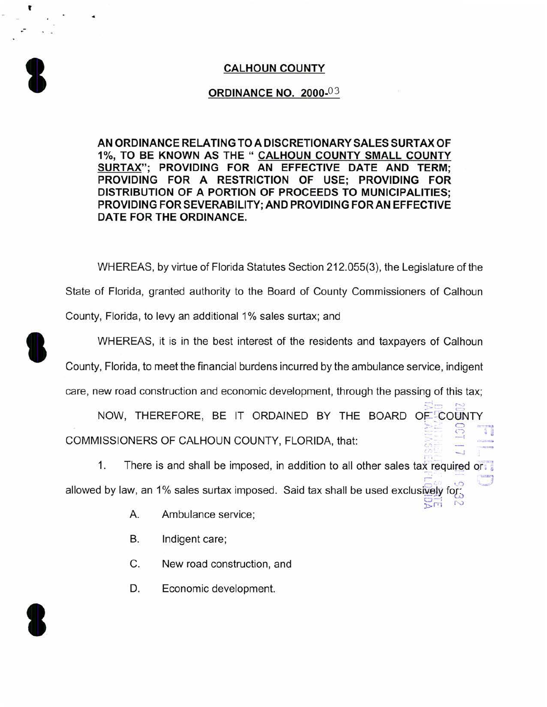## **CALHOUN COUNTY**

## **ORDINANCE NO.** 2000-03

**AN ORDINANCE RELATING TO A DISCRETIONARY SALES SURTAX OF**  1%, **TO BE KNOWN AS THE " CALHOUN COUNTY SMALL COUNTY SURTAX"; PROVIDING FOR AN EFFECTIVE DATE AND TERM; PROVIDING FOR A RESTRICTION OF USE; PROVIDING FOR DISTRIBUTION OF A PORTION OF PROCEEDS TO MUNICIPALITIES; PROVIDING FOR SEVERABILITY; AND PROVIDING FOR AN EFFECTIVE DATE FOR THE ORDINANCE.** 

WHEREAS, by virtue of Florida Statutes Section 212.055(3), the Legislature of the State of Florida, granted authority to the Board of County Commissioners of Calhoun County, Florida, to levy an additional 1% sales surtax; and

WHEREAS, it is in the best interest of the residents and taxpayers of Calhoun

County, Florida, to meet the financial burdens incurred by the ambulance service, indigent

care, new road construction and economic development, through the passing of this tax;

NOW, THEREFORE, BE IT ORDAINED BY THE BOARD OF COUNTY COMMISSIONERS OF CALHOUN COUNTY, FLORIDA, that:  $\circ$ *C)*   $\mathbb{C}$ I . ~

 $= -1$   $\sim$ 

1. There is and shall be imposed, in addition to all other sales tax required or. allowed by law, an 1% sales surtax imposed. Said tax shall be used exclusively for:  $\frac{2}{2}$  $\frac{1}{2}$   $\frac{1}{2}$ 

- A. Ambulance service;
- B. Indigent care;
- C. New road construction, and
- D. Economic development.



**U** 

**1** 

'

.-